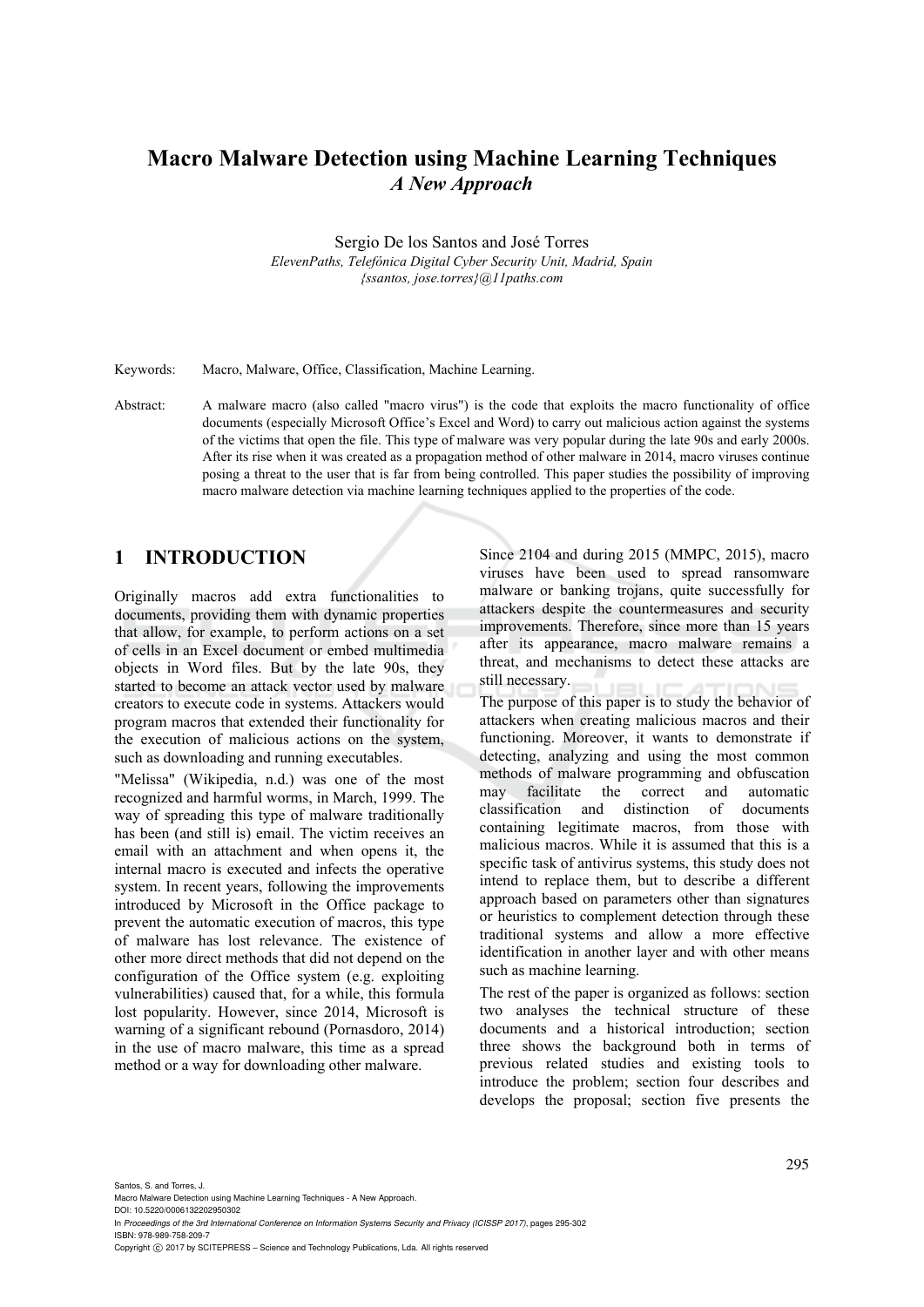# **Macro Malware Detection using Machine Learning Techniques**  *A New Approach*

Sergio De los Santos and José Torres

*ElevenPaths, Telefónica Digital Cyber Security Unit, Madrid, Spain {ssantos, jose.torres}@11paths.com* 

Keywords: Macro, Malware, Office, Classification, Machine Learning.

Abstract: A malware macro (also called "macro virus") is the code that exploits the macro functionality of office documents (especially Microsoft Office's Excel and Word) to carry out malicious action against the systems of the victims that open the file. This type of malware was very popular during the late 90s and early 2000s. After its rise when it was created as a propagation method of other malware in 2014, macro viruses continue posing a threat to the user that is far from being controlled. This paper studies the possibility of improving macro malware detection via machine learning techniques applied to the properties of the code.

## **1 INTRODUCTION**

Originally macros add extra functionalities to documents, providing them with dynamic properties that allow, for example, to perform actions on a set of cells in an Excel document or embed multimedia objects in Word files. But by the late 90s, they started to become an attack vector used by malware creators to execute code in systems. Attackers would program macros that extended their functionality for the execution of malicious actions on the system, such as downloading and running executables.

"Melissa" (Wikipedia, n.d.) was one of the most recognized and harmful worms, in March, 1999. The way of spreading this type of malware traditionally has been (and still is) email. The victim receives an email with an attachment and when opens it, the internal macro is executed and infects the operative system. In recent years, following the improvements introduced by Microsoft in the Office package to prevent the automatic execution of macros, this type of malware has lost relevance. The existence of other more direct methods that did not depend on the configuration of the Office system (e.g. exploiting vulnerabilities) caused that, for a while, this formula lost popularity. However, since 2014, Microsoft is warning of a significant rebound (Pornasdoro, 2014) in the use of macro malware, this time as a spread method or a way for downloading other malware.

Since 2104 and during 2015 (MMPC, 2015), macro viruses have been used to spread ransomware malware or banking trojans, quite successfully for attackers despite the countermeasures and security improvements. Therefore, since more than 15 years after its appearance, macro malware remains a threat, and mechanisms to detect these attacks are still necessary.

The purpose of this paper is to study the behavior of attackers when creating malicious macros and their functioning. Moreover, it wants to demonstrate if detecting, analyzing and using the most common methods of malware programming and obfuscation may facilitate the correct and automatic classification and distinction of documents containing legitimate macros, from those with malicious macros. While it is assumed that this is a specific task of antivirus systems, this study does not intend to replace them, but to describe a different approach based on parameters other than signatures or heuristics to complement detection through these traditional systems and allow a more effective identification in another layer and with other means such as machine learning.

The rest of the paper is organized as follows: section two analyses the technical structure of these documents and a historical introduction; section three shows the background both in terms of previous related studies and existing tools to introduce the problem; section four describes and develops the proposal; section five presents the

Santos, S. and Torres, J.

Macro Malware Detection using Machine Learning Techniques - A New Approach. DOI: 10.5220/0006132202950302

In *Proceedings of the 3rd International Conference on Information Systems Security and Privacy (ICISSP 2017)*, pages 295-302 ISBN: 978-989-758-209-7

Copyright © 2017 by SCITEPRESS - Science and Technology Publications, Lda. All rights reserved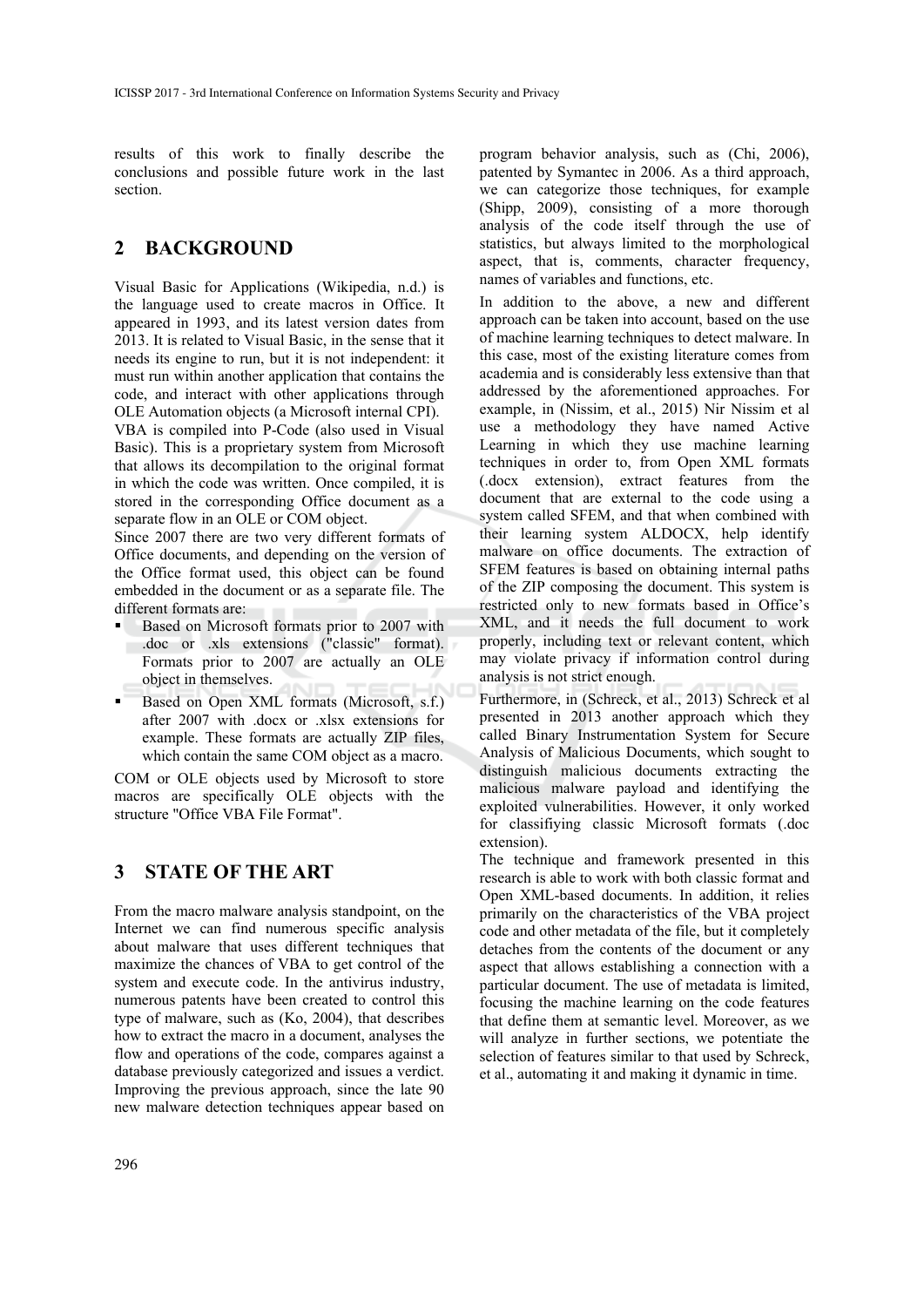results of this work to finally describe the conclusions and possible future work in the last section.

## **2 BACKGROUND**

Visual Basic for Applications (Wikipedia, n.d.) is the language used to create macros in Office. It appeared in 1993, and its latest version dates from 2013. It is related to Visual Basic, in the sense that it needs its engine to run, but it is not independent: it must run within another application that contains the code, and interact with other applications through OLE Automation objects (a Microsoft internal CPI).

VBA is compiled into P-Code (also used in Visual Basic). This is a proprietary system from Microsoft that allows its decompilation to the original format in which the code was written. Once compiled, it is stored in the corresponding Office document as a separate flow in an OLE or COM object.

Since 2007 there are two very different formats of Office documents, and depending on the version of the Office format used, this object can be found embedded in the document or as a separate file. The different formats are:

- Based on Microsoft formats prior to 2007 with .doc or .xls extensions ("classic" format). Formats prior to 2007 are actually an OLE object in themselves.
- Based on Open XML formats (Microsoft, s.f.) after 2007 with .docx or .xlsx extensions for example. These formats are actually ZIP files, which contain the same COM object as a macro.

COM or OLE objects used by Microsoft to store macros are specifically OLE objects with the structure "Office VBA File Format".

# **3 STATE OF THE ART**

From the macro malware analysis standpoint, on the Internet we can find numerous specific analysis about malware that uses different techniques that maximize the chances of VBA to get control of the system and execute code. In the antivirus industry, numerous patents have been created to control this type of malware, such as (Ko, 2004), that describes how to extract the macro in a document, analyses the flow and operations of the code, compares against a database previously categorized and issues a verdict. Improving the previous approach, since the late 90 new malware detection techniques appear based on

program behavior analysis, such as (Chi, 2006), patented by Symantec in 2006. As a third approach, we can categorize those techniques, for example (Shipp, 2009), consisting of a more thorough analysis of the code itself through the use of statistics, but always limited to the morphological aspect, that is, comments, character frequency, names of variables and functions, etc.

In addition to the above, a new and different approach can be taken into account, based on the use of machine learning techniques to detect malware. In this case, most of the existing literature comes from academia and is considerably less extensive than that addressed by the aforementioned approaches. For example, in (Nissim, et al., 2015) Nir Nissim et al use a methodology they have named Active Learning in which they use machine learning techniques in order to, from Open XML formats (.docx extension), extract features from the document that are external to the code using a system called SFEM, and that when combined with their learning system ALDOCX, help identify malware on office documents. The extraction of SFEM features is based on obtaining internal paths of the ZIP composing the document. This system is restricted only to new formats based in Office's XML, and it needs the full document to work properly, including text or relevant content, which may violate privacy if information control during analysis is not strict enough.

Furthermore, in (Schreck, et al., 2013) Schreck et al presented in 2013 another approach which they called Binary Instrumentation System for Secure Analysis of Malicious Documents, which sought to distinguish malicious documents extracting the malicious malware payload and identifying the exploited vulnerabilities. However, it only worked for classifiying classic Microsoft formats (.doc extension).

The technique and framework presented in this research is able to work with both classic format and Open XML-based documents. In addition, it relies primarily on the characteristics of the VBA project code and other metadata of the file, but it completely detaches from the contents of the document or any aspect that allows establishing a connection with a particular document. The use of metadata is limited, focusing the machine learning on the code features that define them at semantic level. Moreover, as we will analyze in further sections, we potentiate the selection of features similar to that used by Schreck, et al., automating it and making it dynamic in time.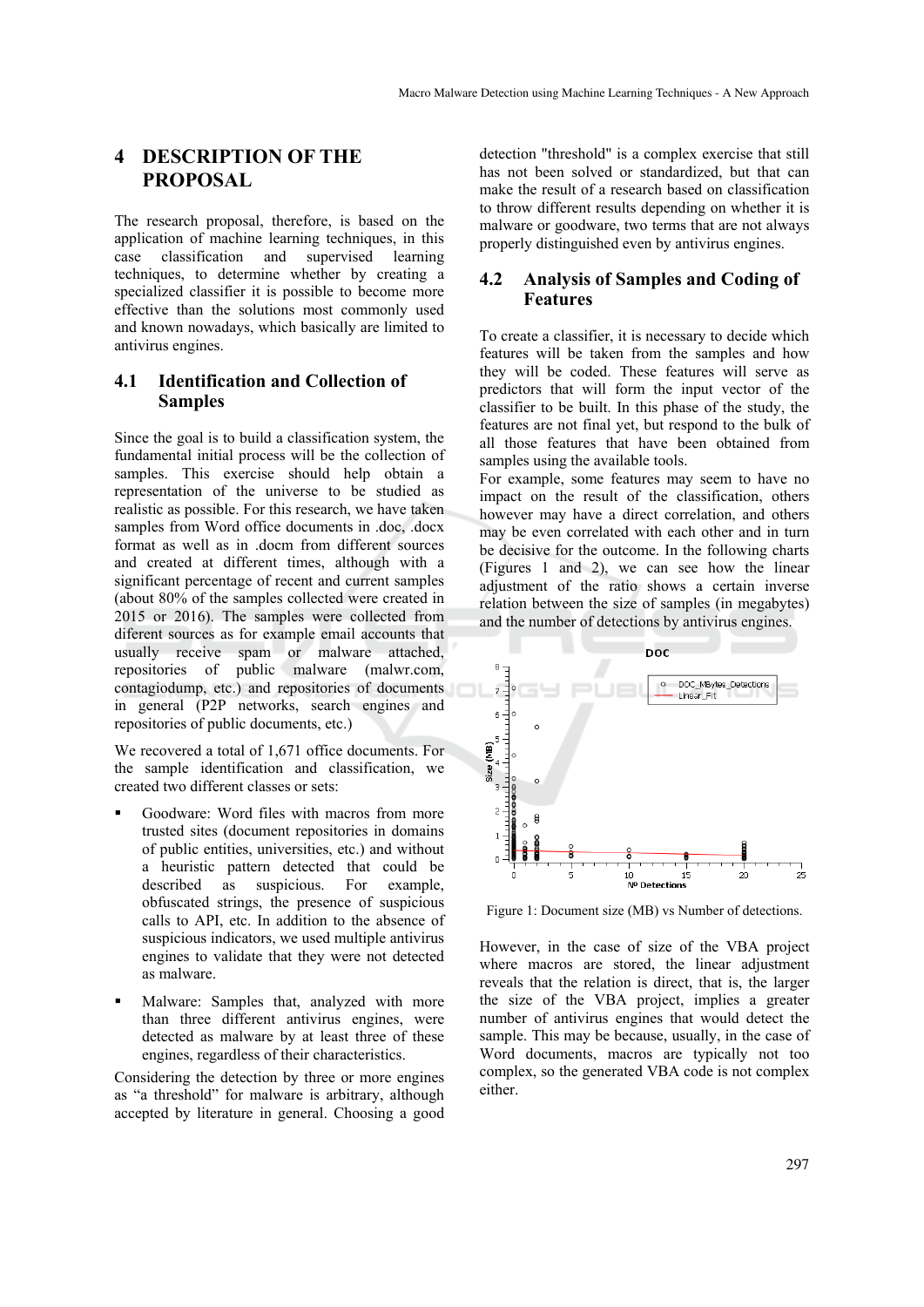# **4 DESCRIPTION OF THE PROPOSAL**

The research proposal, therefore, is based on the application of machine learning techniques, in this case classification and supervised learning techniques, to determine whether by creating a specialized classifier it is possible to become more effective than the solutions most commonly used and known nowadays, which basically are limited to antivirus engines.

#### **4.1 Identification and Collection of Samples**

Since the goal is to build a classification system, the fundamental initial process will be the collection of samples. This exercise should help obtain a representation of the universe to be studied as realistic as possible. For this research, we have taken samples from Word office documents in .doc, .docx format as well as in .docm from different sources and created at different times, although with a significant percentage of recent and current samples (about 80% of the samples collected were created in 2015 or 2016). The samples were collected from diferent sources as for example email accounts that usually receive spam or malware attached, repositories of public malware (malwr.com, contagiodump, etc.) and repositories of documents in general (P2P networks, search engines and repositories of public documents, etc.)

We recovered a total of 1,671 office documents. For the sample identification and classification, we created two different classes or sets:

- Goodware: Word files with macros from more trusted sites (document repositories in domains of public entities, universities, etc.) and without a heuristic pattern detected that could be described as suspicious. For example, obfuscated strings, the presence of suspicious calls to API, etc. In addition to the absence of suspicious indicators, we used multiple antivirus engines to validate that they were not detected as malware.
- Malware: Samples that, analyzed with more than three different antivirus engines, were detected as malware by at least three of these engines, regardless of their characteristics.

Considering the detection by three or more engines as "a threshold" for malware is arbitrary, although accepted by literature in general. Choosing a good

detection "threshold" is a complex exercise that still has not been solved or standardized, but that can make the result of a research based on classification to throw different results depending on whether it is malware or goodware, two terms that are not always properly distinguished even by antivirus engines.

### **4.2 Analysis of Samples and Coding of Features**

To create a classifier, it is necessary to decide which features will be taken from the samples and how they will be coded. These features will serve as predictors that will form the input vector of the classifier to be built. In this phase of the study, the features are not final yet, but respond to the bulk of all those features that have been obtained from samples using the available tools.

For example, some features may seem to have no impact on the result of the classification, others however may have a direct correlation, and others may be even correlated with each other and in turn be decisive for the outcome. In the following charts (Figures 1 and 2), we can see how the linear adjustment of the ratio shows a certain inverse relation between the size of samples (in megabytes) and the number of detections by antivirus engines.



Figure 1: Document size (MB) vs Number of detections.

However, in the case of size of the VBA project where macros are stored, the linear adjustment reveals that the relation is direct, that is, the larger the size of the VBA project, implies a greater number of antivirus engines that would detect the sample. This may be because, usually, in the case of Word documents, macros are typically not too complex, so the generated VBA code is not complex either.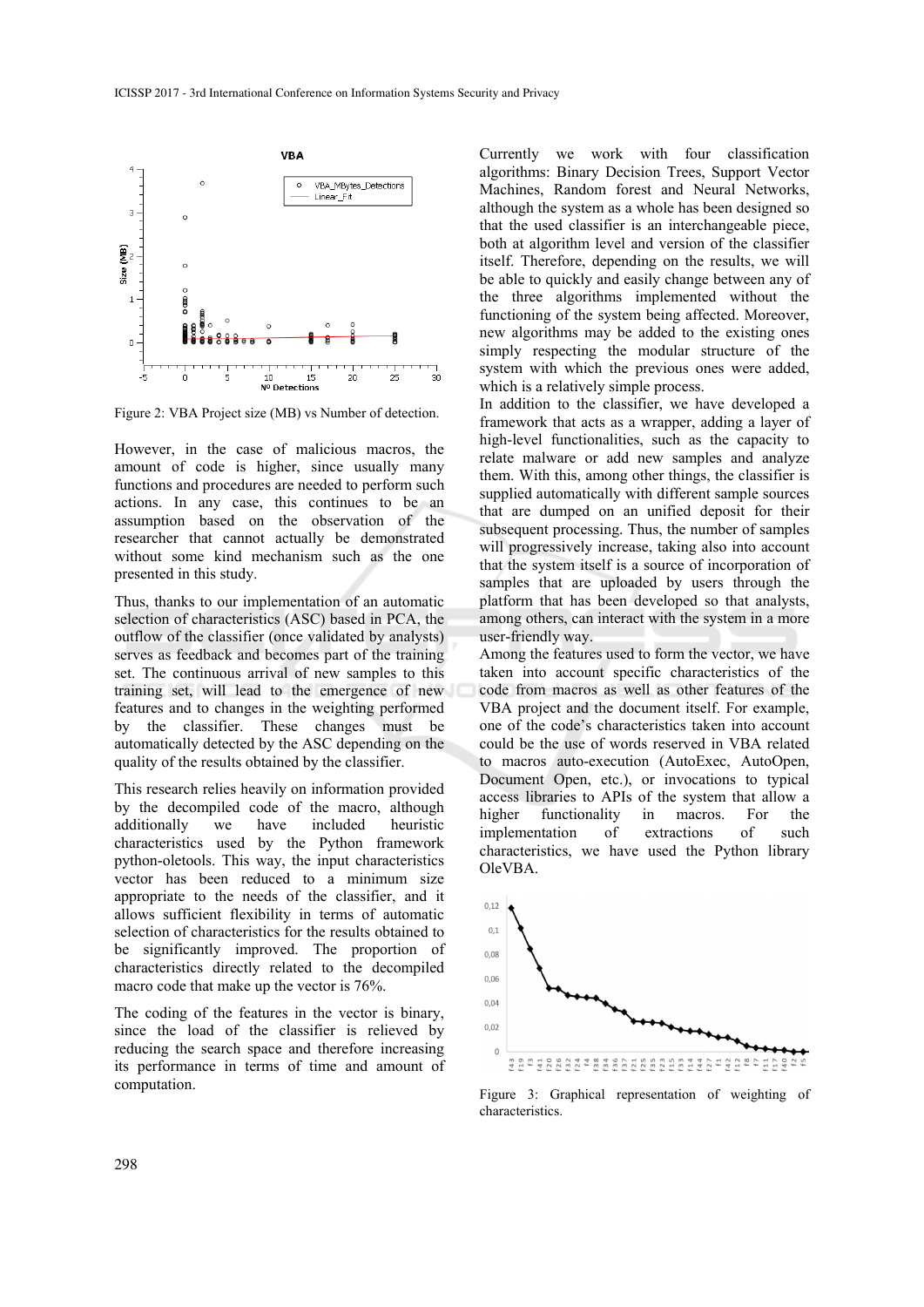

Figure 2: VBA Project size (MB) vs Number of detection.

However, in the case of malicious macros, the amount of code is higher, since usually many functions and procedures are needed to perform such actions. In any case, this continues to be an assumption based on the observation of the researcher that cannot actually be demonstrated without some kind mechanism such as the one presented in this study.

Thus, thanks to our implementation of an automatic selection of characteristics (ASC) based in PCA, the outflow of the classifier (once validated by analysts) serves as feedback and becomes part of the training set. The continuous arrival of new samples to this training set, will lead to the emergence of new features and to changes in the weighting performed by the classifier. These changes must be automatically detected by the ASC depending on the quality of the results obtained by the classifier.

This research relies heavily on information provided by the decompiled code of the macro, although additionally we have included heuristic characteristics used by the Python framework python-oletools. This way, the input characteristics vector has been reduced to a minimum size appropriate to the needs of the classifier, and it allows sufficient flexibility in terms of automatic selection of characteristics for the results obtained to be significantly improved. The proportion of characteristics directly related to the decompiled macro code that make up the vector is 76%.

The coding of the features in the vector is binary, since the load of the classifier is relieved by reducing the search space and therefore increasing its performance in terms of time and amount of computation.

Currently we work with four classification algorithms: Binary Decision Trees, Support Vector Machines, Random forest and Neural Networks, although the system as a whole has been designed so that the used classifier is an interchangeable piece, both at algorithm level and version of the classifier itself. Therefore, depending on the results, we will be able to quickly and easily change between any of the three algorithms implemented without the functioning of the system being affected. Moreover, new algorithms may be added to the existing ones simply respecting the modular structure of the system with which the previous ones were added, which is a relatively simple process.

In addition to the classifier, we have developed a framework that acts as a wrapper, adding a layer of high-level functionalities, such as the capacity to relate malware or add new samples and analyze them. With this, among other things, the classifier is supplied automatically with different sample sources that are dumped on an unified deposit for their subsequent processing. Thus, the number of samples will progressively increase, taking also into account that the system itself is a source of incorporation of samples that are uploaded by users through the platform that has been developed so that analysts, among others, can interact with the system in a more user-friendly way.

Among the features used to form the vector, we have taken into account specific characteristics of the code from macros as well as other features of the VBA project and the document itself. For example, one of the code's characteristics taken into account could be the use of words reserved in VBA related to macros auto-execution (AutoExec, AutoOpen, Document Open, etc.), or invocations to typical access libraries to APIs of the system that allow a higher functionality in macros. For the implementation of extractions of such characteristics, we have used the Python library OleVBA.



Figure 3: Graphical representation of weighting of characteristics.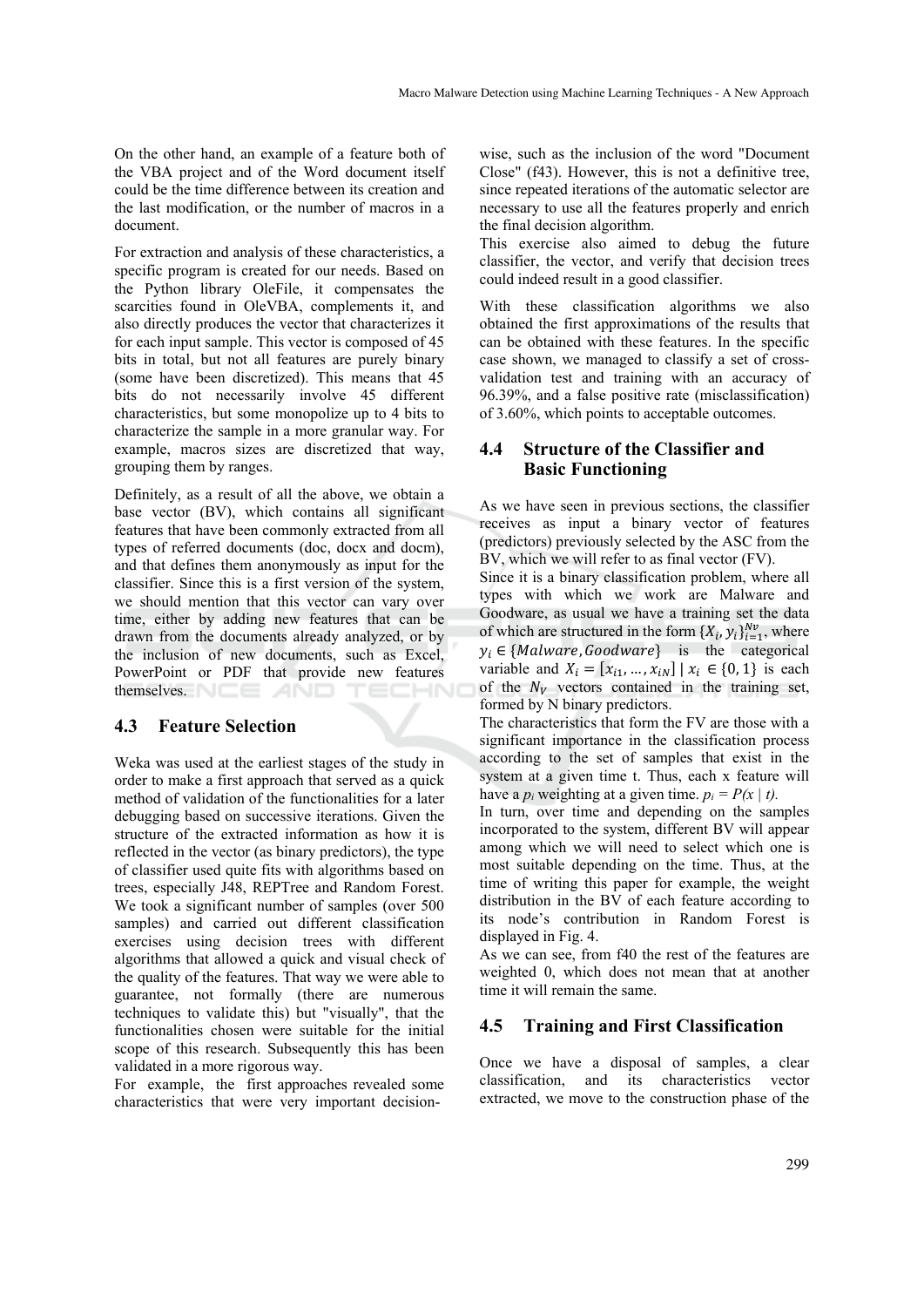On the other hand, an example of a feature both of the VBA project and of the Word document itself could be the time difference between its creation and the last modification, or the number of macros in a document.

For extraction and analysis of these characteristics, a specific program is created for our needs. Based on the Python library OleFile, it compensates the scarcities found in OleVBA, complements it, and also directly produces the vector that characterizes it for each input sample. This vector is composed of 45 bits in total, but not all features are purely binary (some have been discretized). This means that 45 bits do not necessarily involve 45 different characteristics, but some monopolize up to 4 bits to characterize the sample in a more granular way. For example, macros sizes are discretized that way, grouping them by ranges.

Definitely, as a result of all the above, we obtain a base vector (BV), which contains all significant features that have been commonly extracted from all types of referred documents (doc, docx and docm), and that defines them anonymously as input for the classifier. Since this is a first version of the system, we should mention that this vector can vary over time, either by adding new features that can be drawn from the documents already analyzed, or by the inclusion of new documents, such as Excel, PowerPoint or PDF that provide new features themselves. NEE AND

#### **4.3 Feature Selection**

Weka was used at the earliest stages of the study in order to make a first approach that served as a quick method of validation of the functionalities for a later debugging based on successive iterations. Given the structure of the extracted information as how it is reflected in the vector (as binary predictors), the type of classifier used quite fits with algorithms based on trees, especially J48, REPTree and Random Forest. We took a significant number of samples (over 500 samples) and carried out different classification exercises using decision trees with different algorithms that allowed a quick and visual check of the quality of the features. That way we were able to guarantee, not formally (there are numerous techniques to validate this) but "visually", that the functionalities chosen were suitable for the initial scope of this research. Subsequently this has been validated in a more rigorous way.

For example, the first approaches revealed some characteristics that were very important decision-

wise, such as the inclusion of the word "Document Close" (f43). However, this is not a definitive tree, since repeated iterations of the automatic selector are necessary to use all the features properly and enrich the final decision algorithm.

This exercise also aimed to debug the future classifier, the vector, and verify that decision trees could indeed result in a good classifier.

With these classification algorithms we also obtained the first approximations of the results that can be obtained with these features. In the specific case shown, we managed to classify a set of crossvalidation test and training with an accuracy of 96.39%, and a false positive rate (misclassification) of 3.60%, which points to acceptable outcomes.

### **4.4 Structure of the Classifier and Basic Functioning**

As we have seen in previous sections, the classifier receives as input a binary vector of features (predictors) previously selected by the ASC from the BV, which we will refer to as final vector (FV).

Since it is a binary classification problem, where all types with which we work are Malware and Goodware, as usual we have a training set the data of which are structured in the form  $\{X_i, y_i\}_{i=1}^{Nv}$ , where  $y_i \in \{Malware, Goodware\}$  is the categorical variable and  $X_i = [x_{i1}, ..., x_{iN}] | x_i \in \{0, 1\}$  is each of the  $N_V$  vectors contained in the training set, formed by N binary predictors.

The characteristics that form the FV are those with a significant importance in the classification process according to the set of samples that exist in the system at a given time t. Thus, each x feature will have a  $p_i$  weighting at a given time.  $p_i = P(x \mid t)$ .

In turn, over time and depending on the samples incorporated to the system, different BV will appear among which we will need to select which one is most suitable depending on the time. Thus, at the time of writing this paper for example, the weight distribution in the BV of each feature according to its node's contribution in Random Forest is displayed in Fig. 4.

As we can see, from f40 the rest of the features are weighted 0, which does not mean that at another time it will remain the same.

#### **4.5 Training and First Classification**

Once we have a disposal of samples, a clear classification, and its characteristics vector extracted, we move to the construction phase of the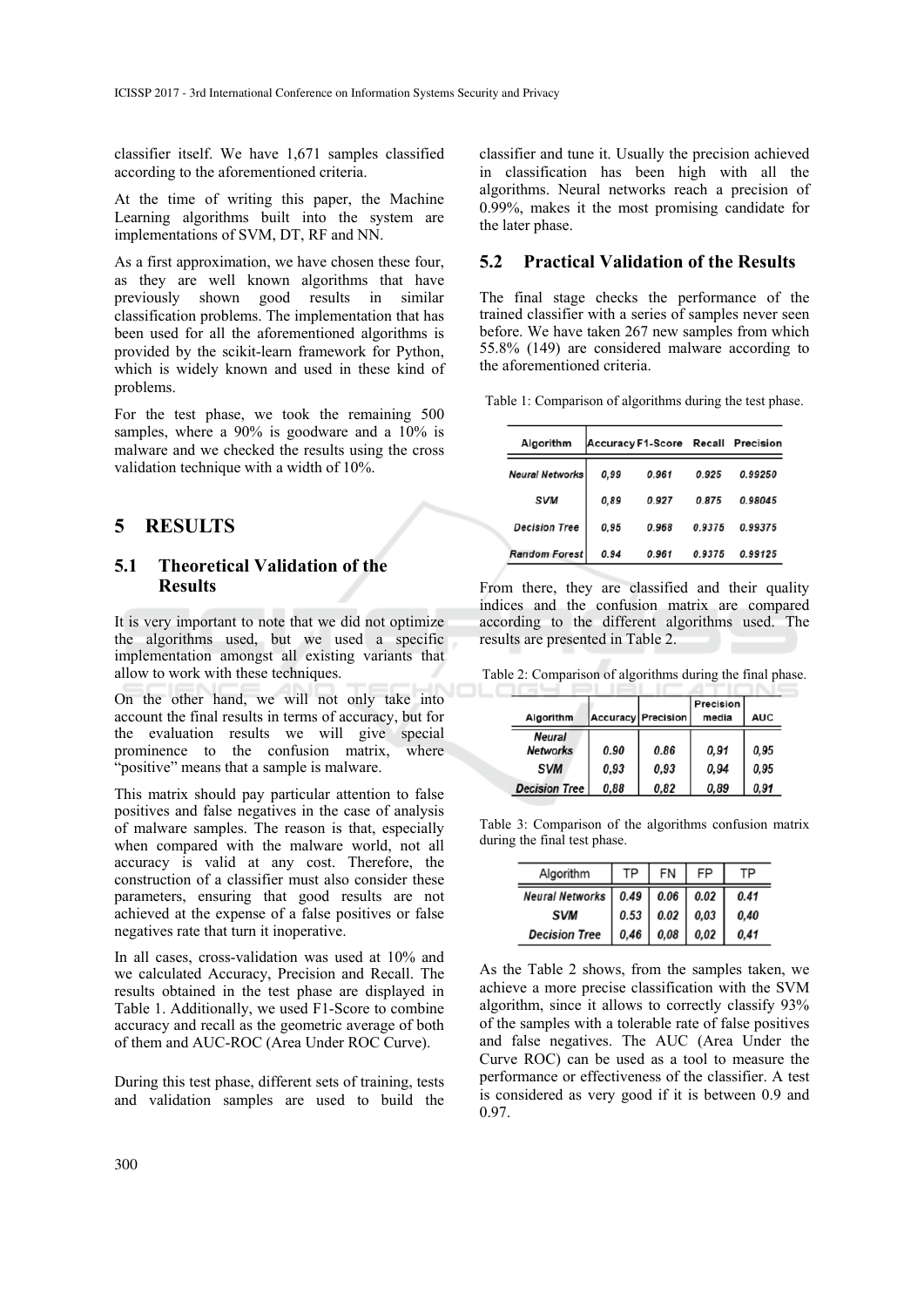classifier itself. We have 1,671 samples classified according to the aforementioned criteria.

At the time of writing this paper, the Machine Learning algorithms built into the system are implementations of SVM, DT, RF and NN.

As a first approximation, we have chosen these four, as they are well known algorithms that have previously shown good results in similar classification problems. The implementation that has been used for all the aforementioned algorithms is provided by the scikit-learn framework for Python, which is widely known and used in these kind of problems.

For the test phase, we took the remaining 500 samples, where a 90% is goodware and a  $10\%$  is malware and we checked the results using the cross validation technique with a width of 10%.

# **5 RESULTS**

#### **5.1 Theoretical Validation of the Results**

It is very important to note that we did not optimize the algorithms used, but we used a specific implementation amongst all existing variants that allow to work with these techniques.

On the other hand, we will not only take into account the final results in terms of accuracy, but for the evaluation results we will give special prominence to the confusion matrix, where "positive" means that a sample is malware.

This matrix should pay particular attention to false positives and false negatives in the case of analysis of malware samples. The reason is that, especially when compared with the malware world, not all accuracy is valid at any cost. Therefore, the construction of a classifier must also consider these parameters, ensuring that good results are not achieved at the expense of a false positives or false negatives rate that turn it inoperative.

In all cases, cross-validation was used at 10% and we calculated Accuracy, Precision and Recall. The results obtained in the test phase are displayed in Table 1. Additionally, we used F1-Score to combine accuracy and recall as the geometric average of both of them and AUC-ROC (Area Under ROC Curve).

During this test phase, different sets of training, tests and validation samples are used to build the

classifier and tune it. Usually the precision achieved in classification has been high with all the algorithms. Neural networks reach a precision of 0.99%, makes it the most promising candidate for the later phase.

#### **5.2 Practical Validation of the Results**

The final stage checks the performance of the trained classifier with a series of samples never seen before. We have taken 267 new samples from which 55.8% (149) are considered malware according to the aforementioned criteria.

Table 1: Comparison of algorithms during the test phase.

| Algorithm              | Accuracy F1-Score Recall Precision |       |        |         |  |
|------------------------|------------------------------------|-------|--------|---------|--|
| <b>Neural Networks</b> | 0.99                               | 0.961 | 0.925  | 0.99250 |  |
| <b>SVM</b>             | 0.89                               | 0.927 | 0.875  | 0.98045 |  |
| <b>Decision Tree</b>   | 0.95                               | 0.968 | 0.9375 | 0.99375 |  |
| <b>Random Forest</b>   | 0.94                               | 0.961 | 0.9375 | 0.99125 |  |

From there, they are classified and their quality indices and the confusion matrix are compared according to the different algorithms used. The results are presented in Table 2.

Table 2: Comparison of algorithms during the final phase.

|                      |      | <b>Accuracy Precision</b> | Precision | <b>AUC</b> |
|----------------------|------|---------------------------|-----------|------------|
| Algorithm            |      |                           | media     |            |
| <b>Neural</b>        |      |                           |           |            |
| <b>Networks</b>      | 0.90 | 0.86                      | 0.91      | 0.95       |
| <b>SVM</b>           | 0.93 | 0.93                      | 0.94      | 0.95       |
| <b>Decision Tree</b> | 0.88 | 0.82                      | 0.89      | 0.91       |

Table 3: Comparison of the algorithms confusion matrix during the final test phase.

| Algorithm                            | TP I | <b>FN</b>                  |      |      |
|--------------------------------------|------|----------------------------|------|------|
| Neural Networks   0.49   0.06   0.02 |      |                            |      | 0.41 |
| <b>SVM</b>                           |      | $0.53 \mid 0.02 \mid 0.03$ |      | 0.40 |
| <b>Decision Tree</b>                 | 0.46 | 0,08                       | 0,02 | 0.41 |

As the Table 2 shows, from the samples taken, we achieve a more precise classification with the SVM algorithm, since it allows to correctly classify 93% of the samples with a tolerable rate of false positives and false negatives. The AUC (Area Under the Curve ROC) can be used as a tool to measure the performance or effectiveness of the classifier. A test is considered as very good if it is between 0.9 and 0.97.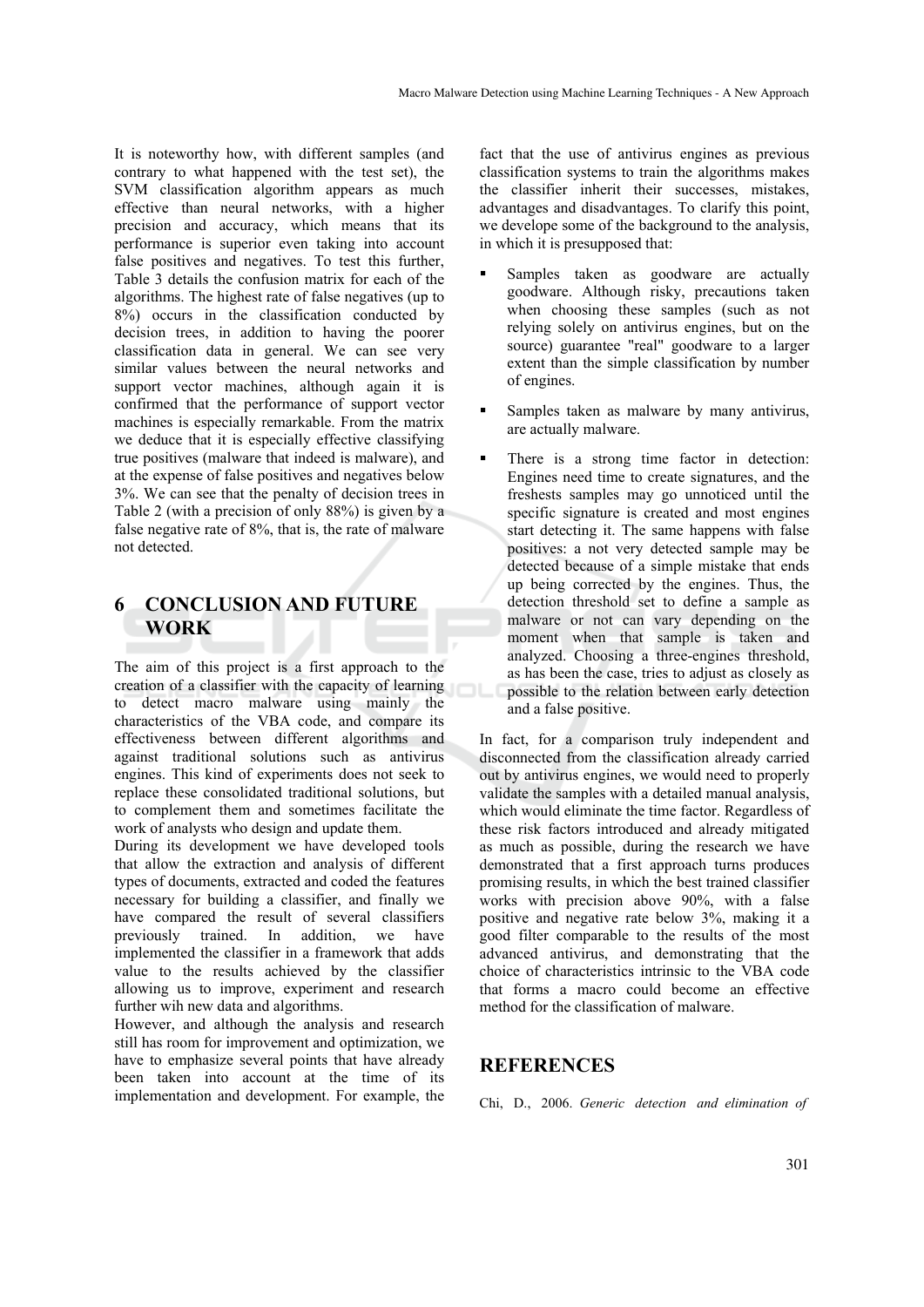It is noteworthy how, with different samples (and contrary to what happened with the test set), the SVM classification algorithm appears as much effective than neural networks, with a higher precision and accuracy, which means that its performance is superior even taking into account false positives and negatives. To test this further, Table 3 details the confusion matrix for each of the algorithms. The highest rate of false negatives (up to 8%) occurs in the classification conducted by decision trees, in addition to having the poorer classification data in general. We can see very similar values between the neural networks and support vector machines, although again it is confirmed that the performance of support vector machines is especially remarkable. From the matrix we deduce that it is especially effective classifying true positives (malware that indeed is malware), and at the expense of false positives and negatives below 3%. We can see that the penalty of decision trees in Table 2 (with a precision of only 88%) is given by a false negative rate of 8%, that is, the rate of malware not detected.

# **6 CONCLUSION AND FUTURE WORK**

The aim of this project is a first approach to the creation of a classifier with the capacity of learning to detect macro malware using mainly the characteristics of the VBA code, and compare its effectiveness between different algorithms and against traditional solutions such as antivirus engines. This kind of experiments does not seek to replace these consolidated traditional solutions, but to complement them and sometimes facilitate the work of analysts who design and update them.

During its development we have developed tools that allow the extraction and analysis of different types of documents, extracted and coded the features necessary for building a classifier, and finally we have compared the result of several classifiers previously trained. In addition, we have implemented the classifier in a framework that adds value to the results achieved by the classifier allowing us to improve, experiment and research further wih new data and algorithms.

However, and although the analysis and research still has room for improvement and optimization, we have to emphasize several points that have already been taken into account at the time of its implementation and development. For example, the

fact that the use of antivirus engines as previous classification systems to train the algorithms makes the classifier inherit their successes, mistakes, advantages and disadvantages. To clarify this point, we develope some of the background to the analysis, in which it is presupposed that:

- Samples taken as goodware are actually goodware. Although risky, precautions taken when choosing these samples (such as not relying solely on antivirus engines, but on the source) guarantee "real" goodware to a larger extent than the simple classification by number of engines.
- Samples taken as malware by many antivirus, are actually malware.
- There is a strong time factor in detection: Engines need time to create signatures, and the freshests samples may go unnoticed until the specific signature is created and most engines start detecting it. The same happens with false positives: a not very detected sample may be detected because of a simple mistake that ends up being corrected by the engines. Thus, the detection threshold set to define a sample as malware or not can vary depending on the moment when that sample is taken and analyzed. Choosing a three-engines threshold, as has been the case, tries to adjust as closely as possible to the relation between early detection and a false positive.

In fact, for a comparison truly independent and disconnected from the classification already carried out by antivirus engines, we would need to properly validate the samples with a detailed manual analysis, which would eliminate the time factor. Regardless of these risk factors introduced and already mitigated as much as possible, during the research we have demonstrated that a first approach turns produces promising results, in which the best trained classifier works with precision above 90%, with a false positive and negative rate below 3%, making it a good filter comparable to the results of the most advanced antivirus, and demonstrating that the choice of characteristics intrinsic to the VBA code that forms a macro could become an effective method for the classification of malware.

#### **REFERENCES**

Chi, D., 2006. *Generic detection and elimination of*